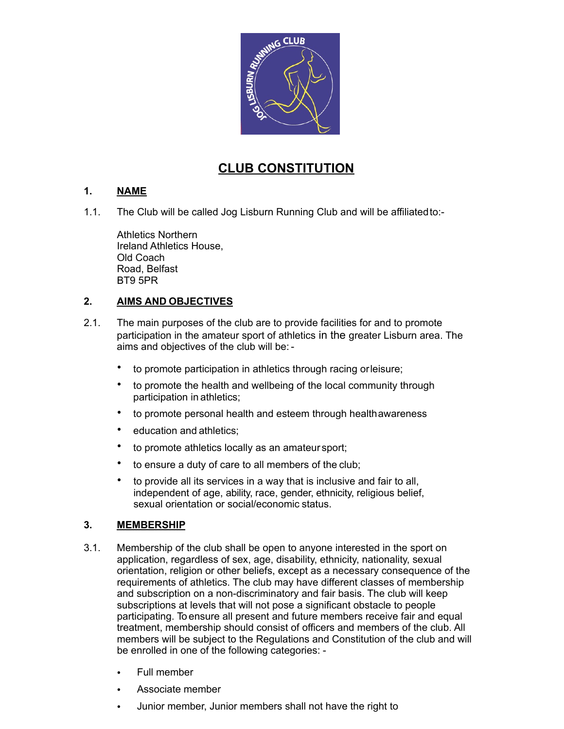

# **CLUB CONSTITUTION**

# **1. NAME**

1.1. The Club will be called Jog Lisburn Running Club and will be affiliatedto:-

Athletics Northern Ireland Athletics House, Old Coach Road, Belfast BT9 5PR

# **2. AIMS AND OBJECTIVES**

- 2.1. The main purposes of the club are to provide facilities for and to promote participation in the amateur sport of athletics in the greater Lisburn area. The aims and objectives of the club will be: -
	- to promote participation in athletics through racing orleisure;
	- to promote the health and wellbeing of the local community through participation in athletics;
	- to promote personal health and esteem through healthawareness
	- education and athletics;
	- to promote athletics locally as an amateur sport;
	- to ensure a duty of care to all members of the club;
	- to provide all its services in a way that is inclusive and fair to all, independent of age, ability, race, gender, ethnicity, religious belief, sexual orientation or social/economic status.

#### **3. MEMBERSHIP**

- 3.1. Membership of the club shall be open to anyone interested in the sport on application, regardless of sex, age, disability, ethnicity, nationality, sexual orientation, religion or other beliefs, except as a necessary consequence of the requirements of athletics. The club may have different classes of membership and subscription on a non-discriminatory and fair basis. The club will keep subscriptions at levels that will not pose a significant obstacle to people participating. To ensure all present and future members receive fair and equal treatment, membership should consist of officers and members of the club. All members will be subject to the Regulations and Constitution of the club and will be enrolled in one of the following categories: -
	- Full member
	- Associate member
	- Junior member, Junior members shall not have the right to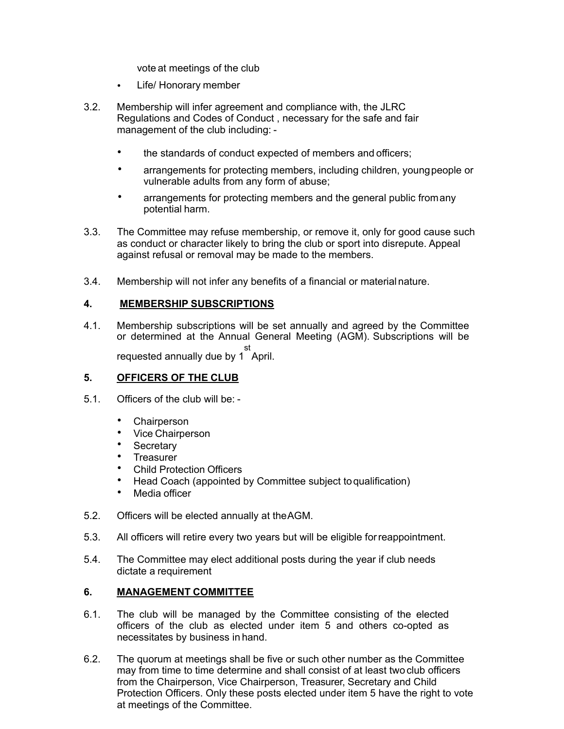vote at meetings of the club

- Life/ Honorary member
- 3.2. Membership will infer agreement and compliance with, the JLRC Regulations and Codes of Conduct , necessary for the safe and fair management of the club including:
	- the standards of conduct expected of members and officers:
	- arrangements for protecting members, including children, youngpeople or vulnerable adults from any form of abuse;
	- arrangements for protecting members and the general public fromany potential harm.
- 3.3. The Committee may refuse membership, or remove it, only for good cause such as conduct or character likely to bring the club or sport into disrepute. Appeal against refusal or removal may be made to the members.
- 3.4. Membership will not infer any benefits of a financial or material nature.

#### **4. MEMBERSHIP SUBSCRIPTIONS**

4.1. Membership subscriptions will be set annually and agreed by the Committee or determined at the Annual General Meeting (AGM). Subscriptions will be requested annually due by 1 st April.

#### **5. OFFICERS OF THE CLUB**

- 5.1. Officers of the club will be:
	- **Chairperson**
	- Vice Chairperson
	- Secretary
	- **Treasurer**
	- Child Protection Officers
	- Head Coach (appointed by Committee subject toqualification)
	- Media officer
- 5.2. Officers will be elected annually at theAGM.
- 5.3. All officers will retire every two years but will be eligible forreappointment.
- 5.4. The Committee may elect additional posts during the year if club needs dictate a requirement

#### **6. MANAGEMENT COMMITTEE**

- 6.1. The club will be managed by the Committee consisting of the elected officers of the club as elected under item 5 and others co-opted as necessitates by business in hand.
- 6.2. The quorum at meetings shall be five or such other number as the Committee may from time to time determine and shall consist of at least two club officers from the Chairperson, Vice Chairperson, Treasurer, Secretary and Child Protection Officers. Only these posts elected under item 5 have the right to vote at meetings of the Committee.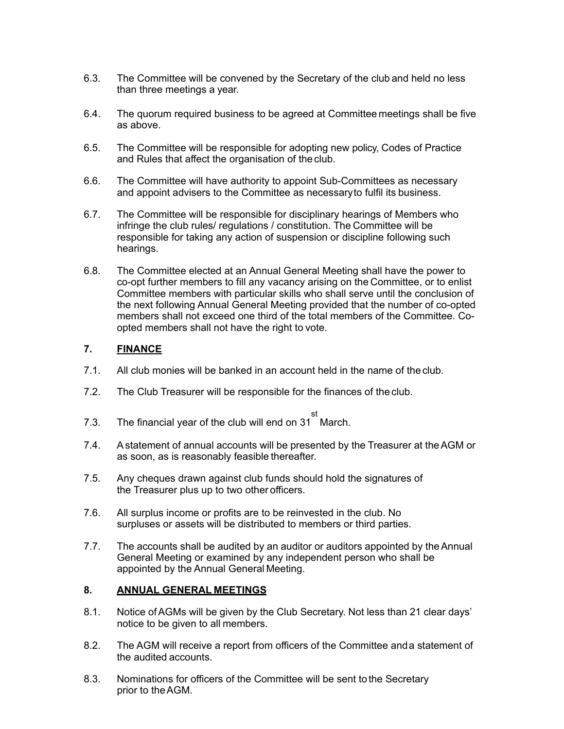- 6.3. The Committee will be convened by the Secretary of the club and held no less than three meetings a year.
- 6.4. The quorum required business to be agreed at Committee meetings shall be five as above.
- 6.5. The Committee will be responsible for adopting new policy, Codes of Practice and Rules that affect the organisation of the club.
- 6.6. The Committee will have authority to appoint Sub-Committees as necessary and appoint advisers to the Committee as necessaryto fulfil its business.
- 6.7. The Committee will be responsible for disciplinary hearings of Members who infringe the club rules/ regulations / constitution. The Committee will be responsible for taking any action of suspension or discipline following such hearings.
- 6.8. The Committee elected at an Annual General Meeting shall have the power to co-opt further members to fill any vacancy arising on the Committee, or to enlist Committee members with particular skills who shall serve until the conclusion of the next following Annual General Meeting provided that the number of co-opted members shall not exceed one third of the total members of the Committee. Coopted members shall not have the right to vote.

# **7. FINANCE**

- 7.1. All club monies will be banked in an account held in the name of the club.
- 7.2. The Club Treasurer will be responsible for the finances of the club.
- 7.3. The financial year of the club will end on 31 st March.
- 7.4. Astatement of annual accounts will be presented by the Treasurer at theAGM or as soon, as is reasonably feasible thereafter.
- 7.5. Any cheques drawn against club funds should hold the signatures of the Treasurer plus up to two other officers.
- 7.6. All surplus income or profits are to be reinvested in the club. No surpluses or assets will be distributed to members or third parties.
- 7.7. The accounts shall be audited by an auditor or auditors appointed by theAnnual General Meeting or examined by any independent person who shall be appointed by the Annual General Meeting.

# **8. ANNUAL GENERAL MEETINGS**

- 8.1. Notice ofAGMs will be given by the Club Secretary. Not less than 21 clear days' notice to be given to all members.
- 8.2. The AGM will receive a report from officers of the Committee anda statement of the audited accounts.
- 8.3. Nominations for officers of the Committee will be sent tothe Secretary prior to theAGM.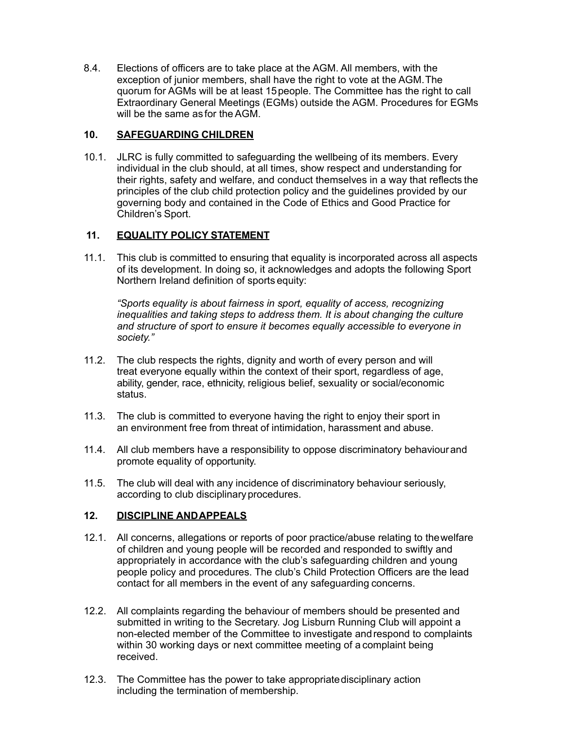8.4. Elections of officers are to take place at the AGM. All members, with the exception of junior members, shall have the right to vote at the AGM.The quorum for AGMs will be at least 15people. The Committee has the right to call Extraordinary General Meetings (EGMs) outside the AGM. Procedures for EGMs will be the same as for the AGM.

#### **10. SAFEGUARDING CHILDREN**

10.1. JLRC is fully committed to safeguarding the wellbeing of its members. Every individual in the club should, at all times, show respect and understanding for their rights, safety and welfare, and conduct themselves in a way that reflects the principles of the club child protection policy and the guidelines provided by our governing body and contained in the Code of Ethics and Good Practice for Children's Sport.

# **11. EQUALITY POLICY STATEMENT**

11.1. This club is committed to ensuring that equality is incorporated across all aspects of its development. In doing so, it acknowledges and adopts the following Sport Northern Ireland definition of sports equity:

*"Sports equality is about fairness in sport, equality of access, recognizing inequalities and taking steps to address them. It is about changing the culture and structure of sport to ensure it becomes equally accessible to everyone in society."* 

- 11.2. The club respects the rights, dignity and worth of every person and will treat everyone equally within the context of their sport, regardless of age, ability, gender, race, ethnicity, religious belief, sexuality or social/economic status.
- 11.3. The club is committed to everyone having the right to enjoy their sport in an environment free from threat of intimidation, harassment and abuse.
- 11.4. All club members have a responsibility to oppose discriminatory behaviourand promote equality of opportunity.
- 11.5. The club will deal with any incidence of discriminatory behaviour seriously, according to club disciplinaryprocedures.

#### **12. DISCIPLINE ANDAPPEALS**

- 12.1. All concerns, allegations or reports of poor practice/abuse relating to thewelfare of children and young people will be recorded and responded to swiftly and appropriately in accordance with the club's safeguarding children and young people policy and procedures. The club's Child Protection Officers are the lead contact for all members in the event of any safeguarding concerns.
- 12.2. All complaints regarding the behaviour of members should be presented and submitted in writing to the Secretary. Jog Lisburn Running Club will appoint a non-elected member of the Committee to investigate andrespond to complaints within 30 working days or next committee meeting of a complaint being received.
- 12.3. The Committee has the power to take appropriatedisciplinary action including the termination of membership.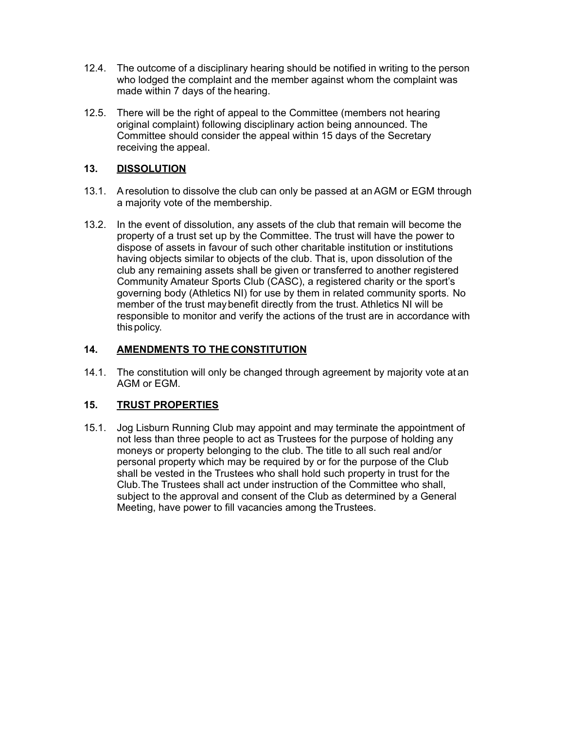- 12.4. The outcome of a disciplinary hearing should be notified in writing to the person who lodged the complaint and the member against whom the complaint was made within 7 days of the hearing.
- 12.5. There will be the right of appeal to the Committee (members not hearing original complaint) following disciplinary action being announced. The Committee should consider the appeal within 15 days of the Secretary receiving the appeal.

#### **13. DISSOLUTION**

- 13.1. Aresolution to dissolve the club can only be passed at anAGM or EGM through a majority vote of the membership.
- 13.2. In the event of dissolution, any assets of the club that remain will become the property of a trust set up by the Committee. The trust will have the power to dispose of assets in favour of such other charitable institution or institutions having objects similar to objects of the club. That is, upon dissolution of the club any remaining assets shall be given or transferred to another registered Community Amateur Sports Club (CASC), a registered charity or the sport's governing body (Athletics NI) for use by them in related community sports. No member of the trust maybenefit directly from the trust. Athletics NI will be responsible to monitor and verify the actions of the trust are in accordance with thispolicy.

# **14. AMENDMENTS TO THE CONSTITUTION**

14.1. The constitution will only be changed through agreement by majority vote at an AGM or EGM.

# **15. TRUST PROPERTIES**

15.1. Jog Lisburn Running Club may appoint and may terminate the appointment of not less than three people to act as Trustees for the purpose of holding any moneys or property belonging to the club. The title to all such real and/or personal property which may be required by or for the purpose of the Club shall be vested in the Trustees who shall hold such property in trust for the Club.The Trustees shall act under instruction of the Committee who shall, subject to the approval and consent of the Club as determined by a General Meeting, have power to fill vacancies among the Trustees.